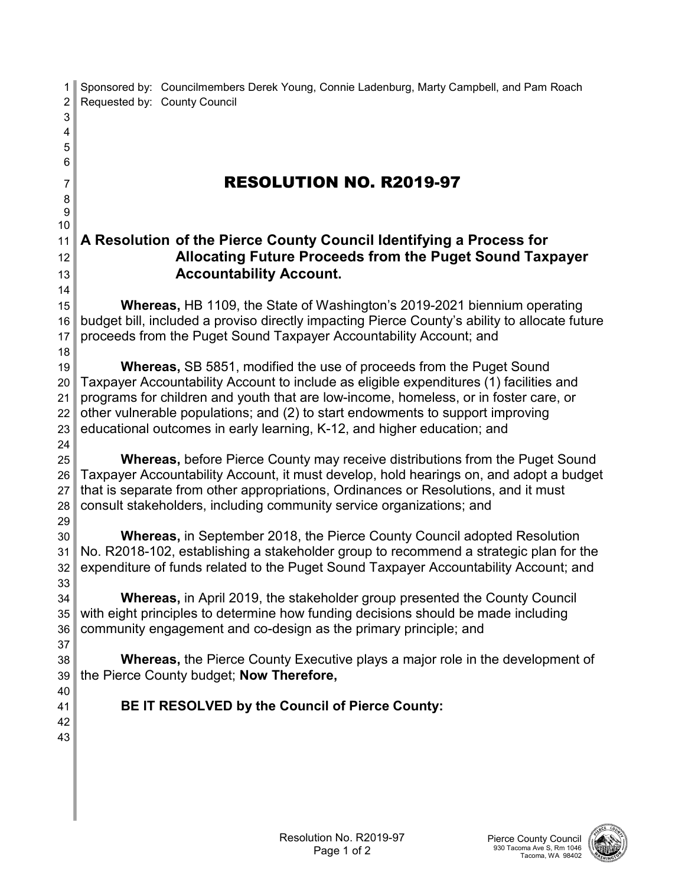1 Sponsored by: Councilmembers Derek Young, Connie Ladenburg, Marty Campbell, and Pam Roach 2 Requested by: County Council RESOLUTION NO. R2019-97 **A Resolution of the Pierce County Council Identifying a Process for Allocating Future Proceeds from the Puget Sound Taxpayer Accountability Account. Whereas,** HB 1109, the State of Washington's 2019-2021 biennium operating budget bill, included a proviso directly impacting Pierce County's ability to allocate future 17 proceeds from the Puget Sound Taxpayer Accountability Account; and **Whereas,** SB 5851, modified the use of proceeds from the Puget Sound Taxpayer Accountability Account to include as eligible expenditures (1) facilities and programs for children and youth that are low-income, homeless, or in foster care, or other vulnerable populations; and (2) to start endowments to support improving educational outcomes in early learning, K-12, and higher education; and **Whereas,** before Pierce County may receive distributions from the Puget Sound Taxpayer Accountability Account, it must develop, hold hearings on, and adopt a budget 27 that is separate from other appropriations, Ordinances or Resolutions, and it must 28 consult stakeholders, including community service organizations; and **Whereas,** in September 2018, the Pierce County Council adopted Resolution No. R2018-102, establishing a stakeholder group to recommend a strategic plan for the expenditure of funds related to the Puget Sound Taxpayer Accountability Account; and **Whereas,** in April 2019, the stakeholder group presented the County Council with eight principles to determine how funding decisions should be made including community engagement and co-design as the primary principle; and **Whereas,** the Pierce County Executive plays a major role in the development of the Pierce County budget; **Now Therefore, BE IT RESOLVED by the Council of Pierce County:**